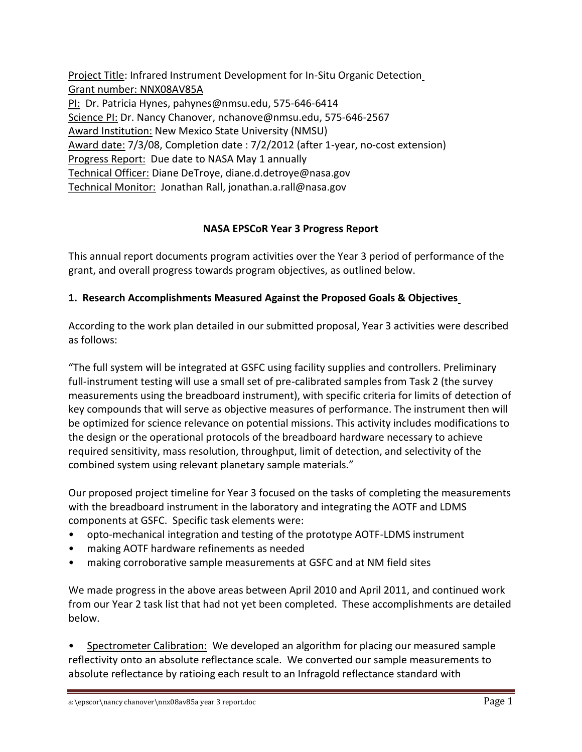Project Title: Infrared Instrument Development for In-Situ Organic Detection Grant number: NNX08AV85A PI: Dr. Patricia Hynes, [pahynes@nmsu.edu,](mailto:pahynes@nmsu.edu) 575-646-6414 Science PI: Dr. Nancy Chanover, [nchanove@nmsu.edu,](mailto:nchanove@nmsu.edu) 575-646-2567 Award Institution: New Mexico State University (NMSU) Award date: 7/3/08, Completion date : 7/2/2012 (after 1-year, no-cost extension) Progress Report: Due date to NASA May 1 annually Technical Officer: Diane DeTroye, diane.d.detroye@nasa.gov Technical Monitor: Jonathan Rall, jonathan.a.rall@nasa.gov

## **NASA EPSCoR Year 3 Progress Report**

This annual report documents program activities over the Year 3 period of performance of the grant, and overall progress towards program objectives, as outlined below.

# **1. Research Accomplishments Measured Against the Proposed Goals & Objectives**

According to the work plan detailed in our submitted proposal, Year 3 activities were described as follows:

"The full system will be integrated at GSFC using facility supplies and controllers. Preliminary full-instrument testing will use a small set of pre-calibrated samples from Task 2 (the survey measurements using the breadboard instrument), with specific criteria for limits of detection of key compounds that will serve as objective measures of performance. The instrument then will be optimized for science relevance on potential missions. This activity includes modifications to the design or the operational protocols of the breadboard hardware necessary to achieve required sensitivity, mass resolution, throughput, limit of detection, and selectivity of the combined system using relevant planetary sample materials."

Our proposed project timeline for Year 3 focused on the tasks of completing the measurements with the breadboard instrument in the laboratory and integrating the AOTF and LDMS components at GSFC. Specific task elements were:

- opto-mechanical integration and testing of the prototype AOTF-LDMS instrument
- making AOTF hardware refinements as needed
- making corroborative sample measurements at GSFC and at NM field sites

We made progress in the above areas between April 2010 and April 2011, and continued work from our Year 2 task list that had not yet been completed. These accomplishments are detailed below.

Spectrometer Calibration: We developed an algorithm for placing our measured sample reflectivity onto an absolute reflectance scale. We converted our sample measurements to absolute reflectance by ratioing each result to an Infragold reflectance standard with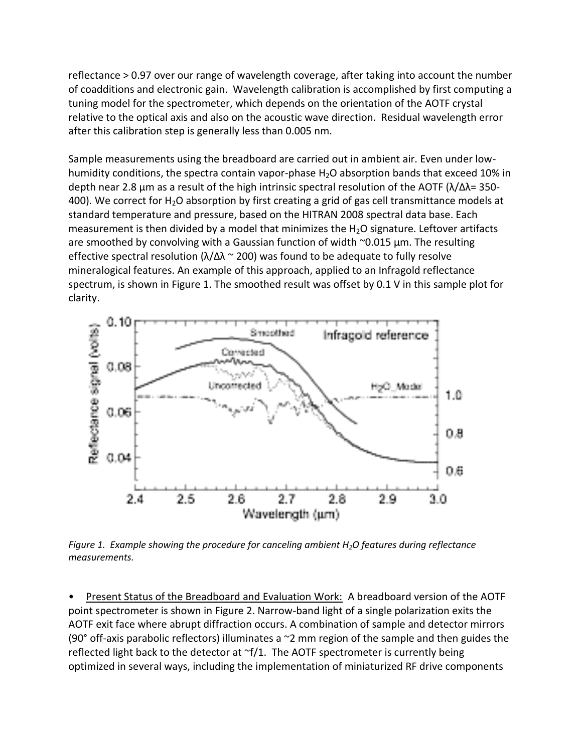reflectance > 0.97 over our range of wavelength coverage, after taking into account the number of coadditions and electronic gain. Wavelength calibration is accomplished by first computing a tuning model for the spectrometer, which depends on the orientation of the AOTF crystal relative to the optical axis and also on the acoustic wave direction. Residual wavelength error after this calibration step is generally less than 0.005 nm.

Sample measurements using the breadboard are carried out in ambient air. Even under lowhumidity conditions, the spectra contain vapor-phase  $H_2O$  absorption bands that exceed 10% in depth near 2.8 μm as a result of the high intrinsic spectral resolution of the AOTF ( $λ/Δλ = 350-$ 400). We correct for  $H_2O$  absorption by first creating a grid of gas cell transmittance models at standard temperature and pressure, based on the HITRAN 2008 spectral data base. Each measurement is then divided by a model that minimizes the  $H_2O$  signature. Leftover artifacts are smoothed by convolving with a Gaussian function of width ~0.015 μm. The resulting effective spectral resolution ( $\lambda/\Delta\lambda \approx 200$ ) was found to be adequate to fully resolve mineralogical features. An example of this approach, applied to an Infragold reflectance spectrum, is shown in Figure 1. The smoothed result was offset by 0.1 V in this sample plot for clarity.



*Figure 1. Example showing the procedure for canceling ambient H2O features during reflectance measurements.*

•Present Status of the Breadboard and Evaluation Work: A breadboard version of the AOTF point spectrometer is shown in Figure 2. Narrow-band light of a single polarization exits the AOTF exit face where abrupt diffraction occurs. A combination of sample and detector mirrors (90 $\degree$  off-axis parabolic reflectors) illuminates a  $\degree$ 2 mm region of the sample and then guides the reflected light back to the detector at  $\gamma$ [1. The AOTF spectrometer is currently being optimized in several ways, including the implementation of miniaturized RF drive components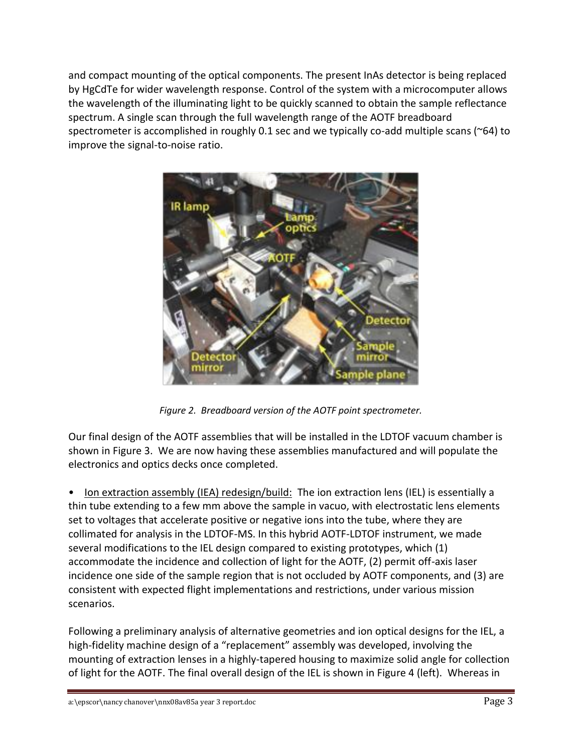and compact mounting of the optical components. The present InAs detector is being replaced by HgCdTe for wider wavelength response. Control of the system with a microcomputer allows the wavelength of the illuminating light to be quickly scanned to obtain the sample reflectance spectrum. A single scan through the full wavelength range of the AOTF breadboard spectrometer is accomplished in roughly 0.1 sec and we typically co-add multiple scans (~64) to improve the signal-to-noise ratio.



*Figure 2. Breadboard version of the AOTF point spectrometer.*

Our final design of the AOTF assemblies that will be installed in the LDTOF vacuum chamber is shown in Figure 3. We are now having these assemblies manufactured and will populate the electronics and optics decks once completed.

• Ion extraction assembly (IEA) redesign/build: The ion extraction lens (IEL) is essentially a thin tube extending to a few mm above the sample in vacuo, with electrostatic lens elements set to voltages that accelerate positive or negative ions into the tube, where they are collimated for analysis in the LDTOF-MS. In this hybrid AOTF-LDTOF instrument, we made several modifications to the IEL design compared to existing prototypes, which (1) accommodate the incidence and collection of light for the AOTF, (2) permit off-axis laser incidence one side of the sample region that is not occluded by AOTF components, and (3) are consistent with expected flight implementations and restrictions, under various mission scenarios.

Following a preliminary analysis of alternative geometries and ion optical designs for the IEL, a high-fidelity machine design of a "replacement" assembly was developed, involving the mounting of extraction lenses in a highly-tapered housing to maximize solid angle for collection of light for the AOTF. The final overall design of the IEL is shown in Figure 4 (left). Whereas in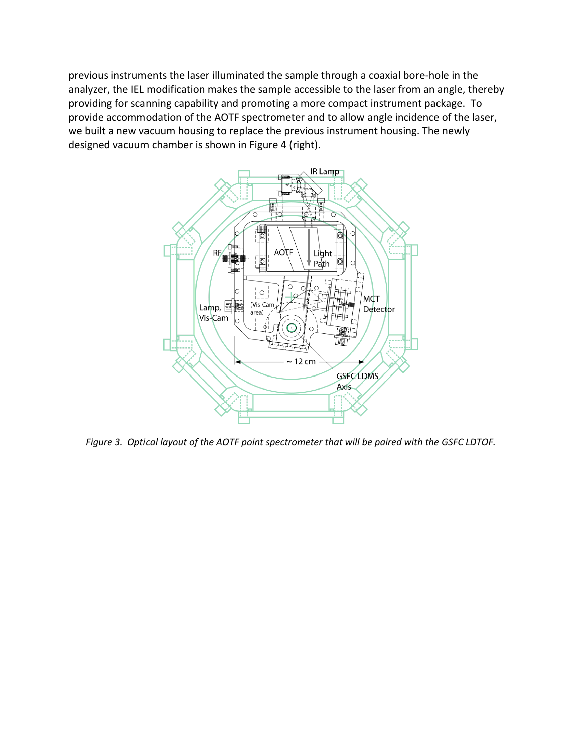previous instruments the laser illuminated the sample through a coaxial bore-hole in the analyzer, the IEL modification makes the sample accessible to the laser from an angle, thereby providing for scanning capability and promoting a more compact instrument package. To provide accommodation of the AOTF spectrometer and to allow angle incidence of the laser, we built a new vacuum housing to replace the previous instrument housing. The newly designed vacuum chamber is shown in Figure 4 (right).



*Figure 3. Optical layout of the AOTF point spectrometer that will be paired with the GSFC LDTOF.*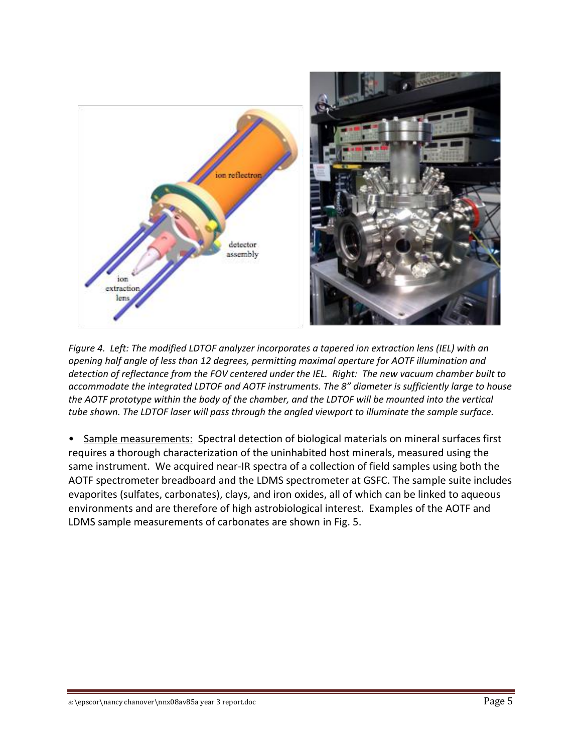

*Figure 4. Left: The modified LDTOF analyzer incorporates a tapered ion extraction lens (IEL) with an opening half angle of less than 12 degrees, permitting maximal aperture for AOTF illumination and detection of reflectance from the FOV centered under the IEL. Right: The new vacuum chamber built to accommodate the integrated LDTOF and AOTF instruments. The 8" diameter is sufficiently large to house the AOTF prototype within the body of the chamber, and the LDTOF will be mounted into the vertical tube shown. The LDTOF laser will pass through the angled viewport to illuminate the sample surface.*

• Sample measurements: Spectral detection of biological materials on mineral surfaces first requires a thorough characterization of the uninhabited host minerals, measured using the same instrument. We acquired near-IR spectra of a collection of field samples using both the AOTF spectrometer breadboard and the LDMS spectrometer at GSFC. The sample suite includes evaporites (sulfates, carbonates), clays, and iron oxides, all of which can be linked to aqueous environments and are therefore of high astrobiological interest. Examples of the AOTF and LDMS sample measurements of carbonates are shown in Fig. 5.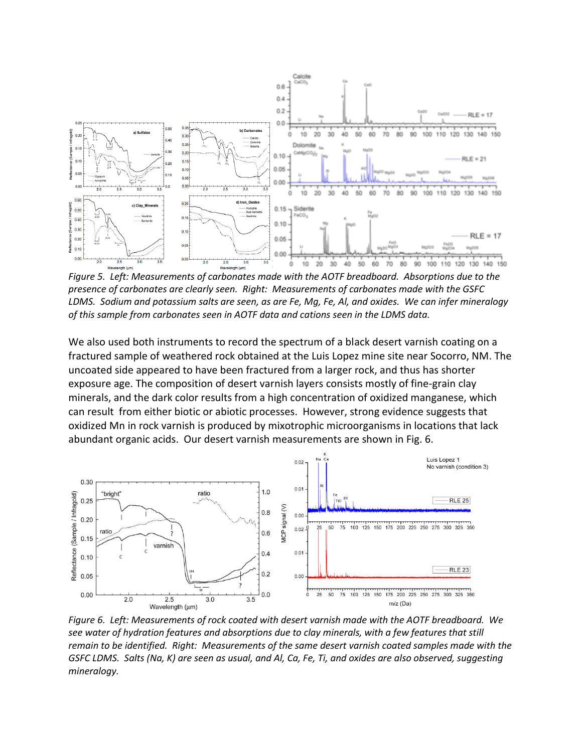

*Figure 5. Left: Measurements of carbonates made with the AOTF breadboard. Absorptions due to the presence of carbonates are clearly seen. Right: Measurements of carbonates made with the GSFC LDMS. Sodium and potassium salts are seen, as are Fe, Mg, Fe, Al, and oxides. We can infer mineralogy of this sample from carbonates seen in AOTF data and cations seen in the LDMS data.*

We also used both instruments to record the spectrum of a black desert varnish coating on a fractured sample of weathered rock obtained at the Luis Lopez mine site near Socorro, NM. The uncoated side appeared to have been fractured from a larger rock, and thus has shorter exposure age. The composition of desert varnish layers consists mostly of fine-grain clay minerals, and the dark color results from a high concentration of oxidized manganese, which can result from either biotic or abiotic processes. However, strong evidence suggests that oxidized Mn in rock varnish is produced by mixotrophic microorganisms in locations that lack abundant organic acids. Our desert varnish measurements are shown in Fig. 6.



*Figure 6. Left: Measurements of rock coated with desert varnish made with the AOTF breadboard. We see water of hydration features and absorptions due to clay minerals, with a few features that still remain to be identified. Right: Measurements of the same desert varnish coated samples made with the GSFC LDMS. Salts (Na, K) are seen as usual, and Al, Ca, Fe, Ti, and oxides are also observed, suggesting mineralogy.*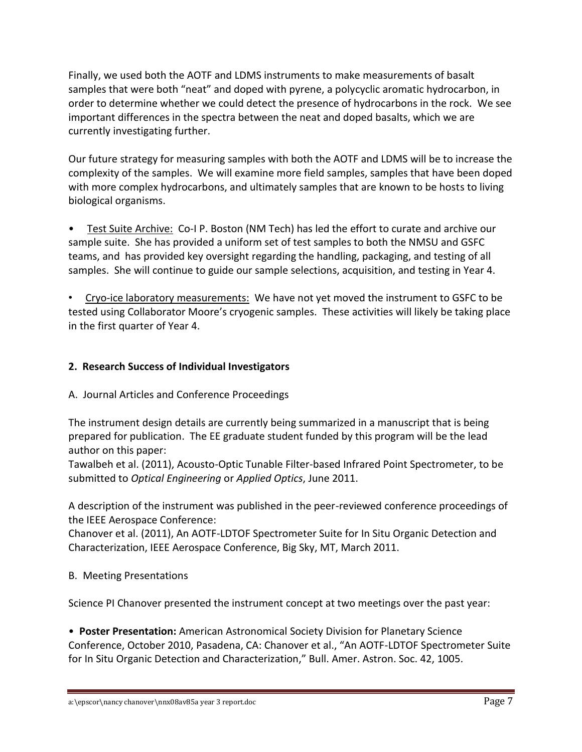Finally, we used both the AOTF and LDMS instruments to make measurements of basalt samples that were both "neat" and doped with pyrene, a polycyclic aromatic hydrocarbon, in order to determine whether we could detect the presence of hydrocarbons in the rock. We see important differences in the spectra between the neat and doped basalts, which we are currently investigating further.

Our future strategy for measuring samples with both the AOTF and LDMS will be to increase the complexity of the samples. We will examine more field samples, samples that have been doped with more complex hydrocarbons, and ultimately samples that are known to be hosts to living biological organisms.

• Test Suite Archive: Co-I P. Boston (NM Tech) has led the effort to curate and archive our sample suite. She has provided a uniform set of test samples to both the NMSU and GSFC teams, and has provided key oversight regarding the handling, packaging, and testing of all samples. She will continue to guide our sample selections, acquisition, and testing in Year 4.

• Cryo-ice laboratory measurements: We have not yet moved the instrument to GSFC to be tested using Collaborator Moore's cryogenic samples. These activities will likely be taking place in the first quarter of Year 4.

## **2. Research Success of Individual Investigators**

A. Journal Articles and Conference Proceedings

The instrument design details are currently being summarized in a manuscript that is being prepared for publication. The EE graduate student funded by this program will be the lead author on this paper:

Tawalbeh et al. (2011), Acousto-Optic Tunable Filter-based Infrared Point Spectrometer, to be submitted to *Optical Engineering* or *Applied Optics*, June 2011.

A description of the instrument was published in the peer-reviewed conference proceedings of the IEEE Aerospace Conference:

Chanover et al. (2011), An AOTF-LDTOF Spectrometer Suite for In Situ Organic Detection and Characterization, IEEE Aerospace Conference, Big Sky, MT, March 2011.

B. Meeting Presentations

Science PI Chanover presented the instrument concept at two meetings over the past year:

• **Poster Presentation:** American Astronomical Society Division for Planetary Science Conference, October 2010, Pasadena, CA: Chanover et al., "An AOTF-LDTOF Spectrometer Suite for In Situ Organic Detection and Characterization," Bull. Amer. Astron. Soc. 42, 1005.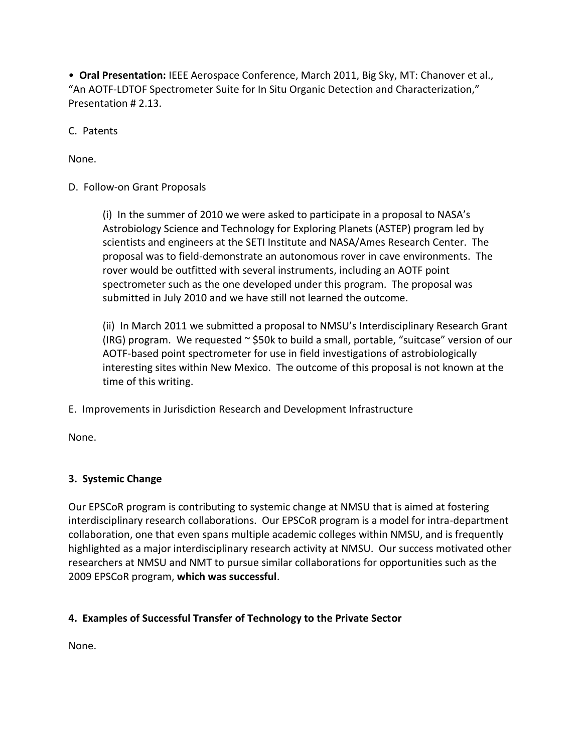• **Oral Presentation:** IEEE Aerospace Conference, March 2011, Big Sky, MT: Chanover et al., "An AOTF-LDTOF Spectrometer Suite for In Situ Organic Detection and Characterization," Presentation # 2.13.

C. Patents

None.

## D. Follow-on Grant Proposals

(i) In the summer of 2010 we were asked to participate in a proposal to NASA's Astrobiology Science and Technology for Exploring Planets (ASTEP) program led by scientists and engineers at the SETI Institute and NASA/Ames Research Center. The proposal was to field-demonstrate an autonomous rover in cave environments. The rover would be outfitted with several instruments, including an AOTF point spectrometer such as the one developed under this program. The proposal was submitted in July 2010 and we have still not learned the outcome.

(ii) In March 2011 we submitted a proposal to NMSU's Interdisciplinary Research Grant (IRG) program. We requested  $\sim$  \$50k to build a small, portable, "suitcase" version of our AOTF-based point spectrometer for use in field investigations of astrobiologically interesting sites within New Mexico. The outcome of this proposal is not known at the time of this writing.

E. Improvements in Jurisdiction Research and Development Infrastructure

None.

# **3. Systemic Change**

Our EPSCoR program is contributing to systemic change at NMSU that is aimed at fostering interdisciplinary research collaborations. Our EPSCoR program is a model for intra-department collaboration, one that even spans multiple academic colleges within NMSU, and is frequently highlighted as a major interdisciplinary research activity at NMSU. Our success motivated other researchers at NMSU and NMT to pursue similar collaborations for opportunities such as the 2009 EPSCoR program, **which was successful**.

# **4. Examples of Successful Transfer of Technology to the Private Sector**

None.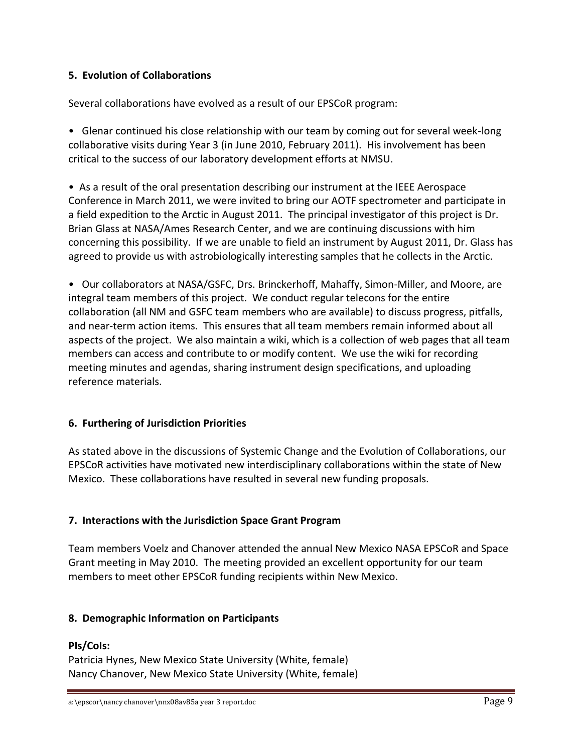### **5. Evolution of Collaborations**

Several collaborations have evolved as a result of our EPSCoR program:

• Glenar continued his close relationship with our team by coming out for several week-long collaborative visits during Year 3 (in June 2010, February 2011). His involvement has been critical to the success of our laboratory development efforts at NMSU.

• As a result of the oral presentation describing our instrument at the IEEE Aerospace Conference in March 2011, we were invited to bring our AOTF spectrometer and participate in a field expedition to the Arctic in August 2011. The principal investigator of this project is Dr. Brian Glass at NASA/Ames Research Center, and we are continuing discussions with him concerning this possibility. If we are unable to field an instrument by August 2011, Dr. Glass has agreed to provide us with astrobiologically interesting samples that he collects in the Arctic.

• Our collaborators at NASA/GSFC, Drs. Brinckerhoff, Mahaffy, Simon-Miller, and Moore, are integral team members of this project. We conduct regular telecons for the entire collaboration (all NM and GSFC team members who are available) to discuss progress, pitfalls, and near-term action items. This ensures that all team members remain informed about all aspects of the project. We also maintain a wiki, which is a collection of web pages that all team members can access and contribute to or modify content. We use the wiki for recording meeting minutes and agendas, sharing instrument design specifications, and uploading reference materials.

### **6. Furthering of Jurisdiction Priorities**

As stated above in the discussions of Systemic Change and the Evolution of Collaborations, our EPSCoR activities have motivated new interdisciplinary collaborations within the state of New Mexico. These collaborations have resulted in several new funding proposals.

### **7. Interactions with the Jurisdiction Space Grant Program**

Team members Voelz and Chanover attended the annual New Mexico NASA EPSCoR and Space Grant meeting in May 2010. The meeting provided an excellent opportunity for our team members to meet other EPSCoR funding recipients within New Mexico.

### **8. Demographic Information on Participants**

### **PIs/CoIs:**

Patricia Hynes, New Mexico State University (White, female) Nancy Chanover, New Mexico State University (White, female)